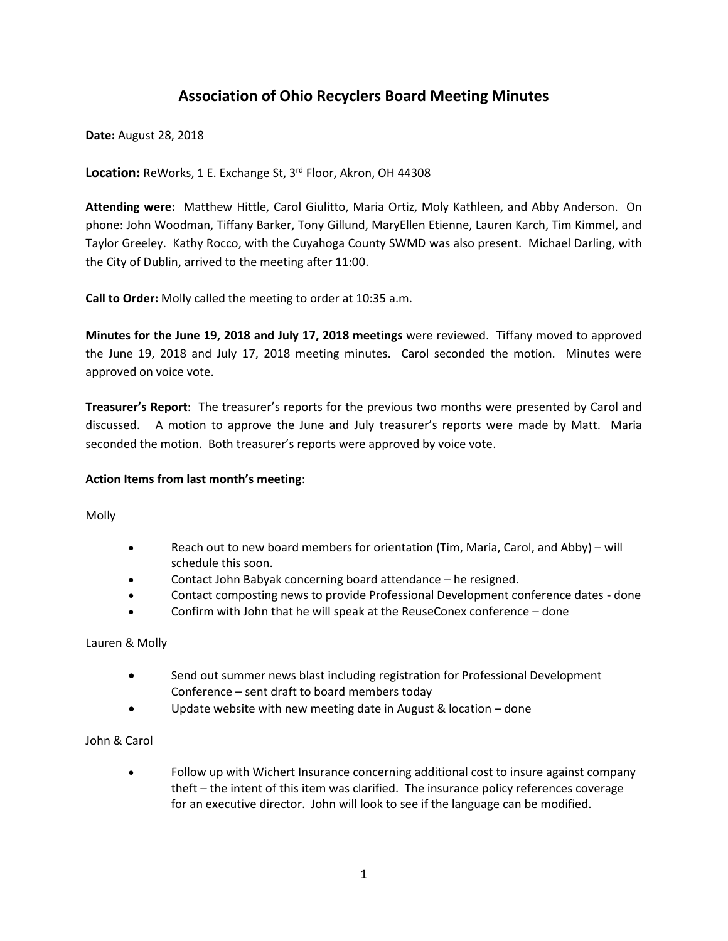# **Association of Ohio Recyclers Board Meeting Minutes**

**Date:** August 28, 2018

**Location:** ReWorks, 1 E. Exchange St, 3rd Floor, Akron, OH 44308

**Attending were:** Matthew Hittle, Carol Giulitto, Maria Ortiz, Moly Kathleen, and Abby Anderson. On phone: John Woodman, Tiffany Barker, Tony Gillund, MaryEllen Etienne, Lauren Karch, Tim Kimmel, and Taylor Greeley. Kathy Rocco, with the Cuyahoga County SWMD was also present. Michael Darling, with the City of Dublin, arrived to the meeting after 11:00.

**Call to Order:** Molly called the meeting to order at 10:35 a.m.

**Minutes for the June 19, 2018 and July 17, 2018 meetings** were reviewed. Tiffany moved to approved the June 19, 2018 and July 17, 2018 meeting minutes. Carol seconded the motion. Minutes were approved on voice vote.

**Treasurer's Report**: The treasurer's reports for the previous two months were presented by Carol and discussed. A motion to approve the June and July treasurer's reports were made by Matt. Maria seconded the motion. Both treasurer's reports were approved by voice vote.

#### **Action Items from last month's meeting**:

Molly

- Reach out to new board members for orientation (Tim, Maria, Carol, and Abby) will schedule this soon.
- Contact John Babyak concerning board attendance he resigned.
- Contact composting news to provide Professional Development conference dates done
- Confirm with John that he will speak at the ReuseConex conference done

Lauren & Molly

- Send out summer news blast including registration for Professional Development Conference – sent draft to board members today
- Update website with new meeting date in August & location done

# John & Carol

 Follow up with Wichert Insurance concerning additional cost to insure against company theft – the intent of this item was clarified. The insurance policy references coverage for an executive director. John will look to see if the language can be modified.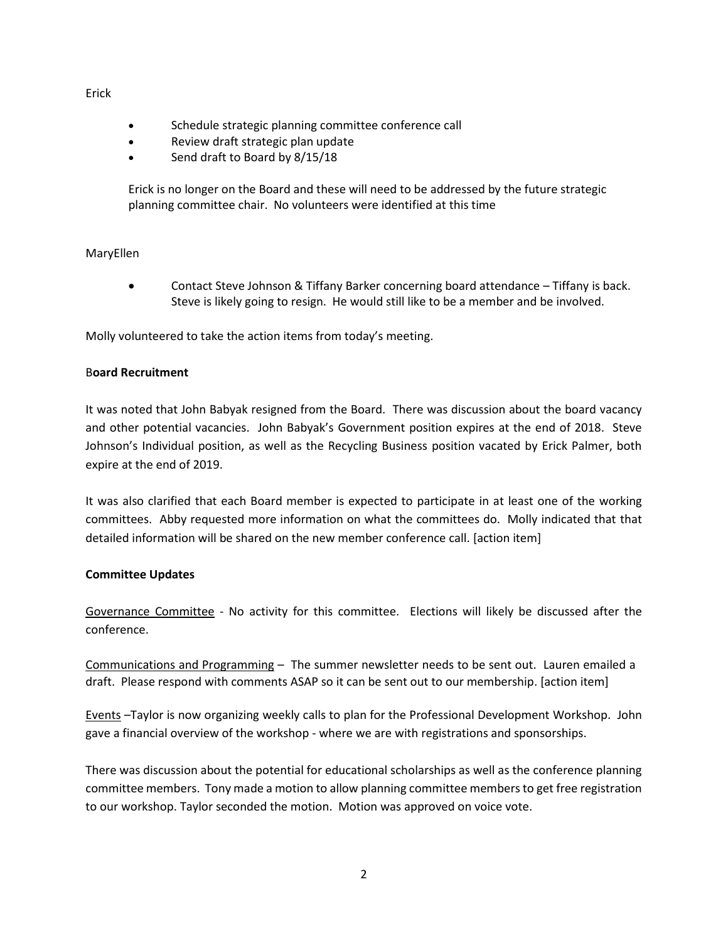#### Erick

- Schedule strategic planning committee conference call
- Review draft strategic plan update
- Send draft to Board by 8/15/18

Erick is no longer on the Board and these will need to be addressed by the future strategic planning committee chair. No volunteers were identified at this time

### MaryEllen

 Contact Steve Johnson & Tiffany Barker concerning board attendance – Tiffany is back. Steve is likely going to resign. He would still like to be a member and be involved.

Molly volunteered to take the action items from today's meeting.

### B**oard Recruitment**

It was noted that John Babyak resigned from the Board. There was discussion about the board vacancy and other potential vacancies. John Babyak's Government position expires at the end of 2018. Steve Johnson's Individual position, as well as the Recycling Business position vacated by Erick Palmer, both expire at the end of 2019.

It was also clarified that each Board member is expected to participate in at least one of the working committees. Abby requested more information on what the committees do. Molly indicated that that detailed information will be shared on the new member conference call. [action item]

#### **Committee Updates**

Governance Committee - No activity for this committee. Elections will likely be discussed after the conference.

Communications and Programming – The summer newsletter needs to be sent out. Lauren emailed a draft. Please respond with comments ASAP so it can be sent out to our membership. [action item]

Events –Taylor is now organizing weekly calls to plan for the Professional Development Workshop. John gave a financial overview of the workshop - where we are with registrations and sponsorships.

There was discussion about the potential for educational scholarships as well as the conference planning committee members. Tony made a motion to allow planning committee members to get free registration to our workshop. Taylor seconded the motion. Motion was approved on voice vote.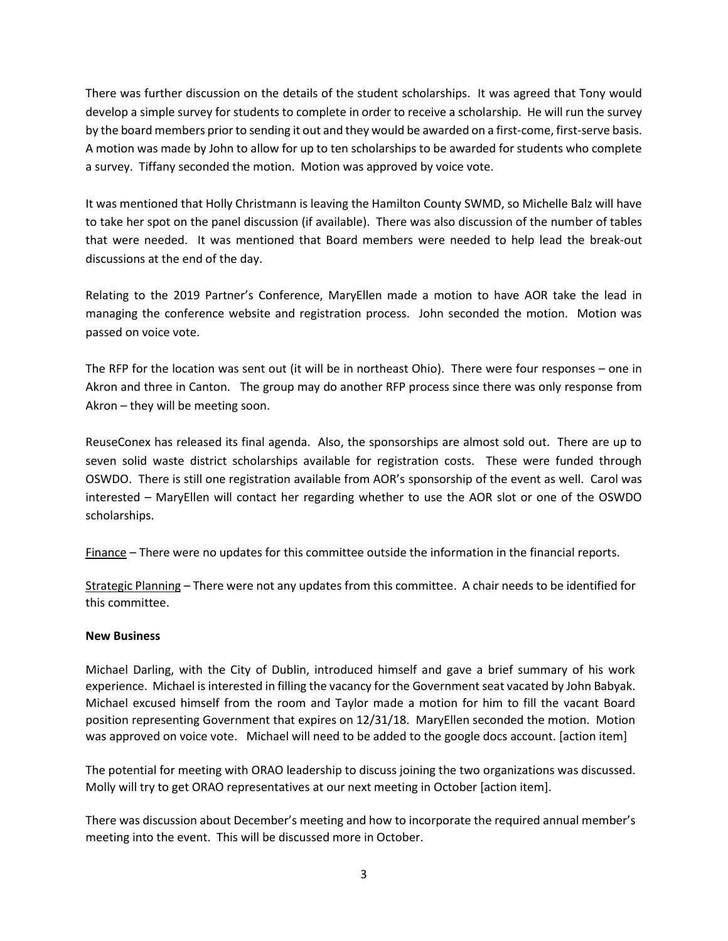There was further discussion on the details of the student scholarships. It was agreed that Tony would develop a simple survey for students to complete in order to receive a scholarship. He will run the survey by the board members prior to sending it out and they would be awarded on a first-come, first-serve basis. A motion was made by John to allow for up to ten scholarships to be awarded for students who complete a survey. Tiffany seconded the motion. Motion was approved by voice vote.

It was mentioned that Holly Christmann is leaving the Hamilton County SWMD, so Michelle Balz will have to take her spot on the panel discussion (if available). There was also discussion of the number of tables that were needed. It was mentioned that Board members were needed to help lead the break-out discussions at the end of the day.

Relating to the 2019 Partner's Conference, MaryEllen made a motion to have AOR take the lead in managing the conference website and registration process. John seconded the motion. Motion was passed on voice vote.

The RFP for the location was sent out (it will be in northeast Ohio). There were four responses – one in Akron and three in Canton. The group may do another RFP process since there was only response from Akron – they will be meeting soon.

ReuseConex has released its final agenda. Also, the sponsorships are almost sold out. There are up to seven solid waste district scholarships available for registration costs. These were funded through OSWDO. There is still one registration available from AOR's sponsorship of the event as well. Carol was interested – MaryEllen will contact her regarding whether to use the AOR slot or one of the OSWDO scholarships.

Finance – There were no updates for this committee outside the information in the financial reports.

Strategic Planning – There were not any updates from this committee. A chair needs to be identified for this committee.

# **New Business**

Michael Darling, with the City of Dublin, introduced himself and gave a brief summary of his work experience. Michael is interested in filling the vacancy for the Government seat vacated by John Babyak. Michael excused himself from the room and Taylor made a motion for him to fill the vacant Board position representing Government that expires on 12/31/18. MaryEllen seconded the motion. Motion was approved on voice vote. Michael will need to be added to the google docs account. [action item]

The potential for meeting with ORAO leadership to discuss joining the two organizations was discussed. Molly will try to get ORAO representatives at our next meeting in October [action item].

There was discussion about December's meeting and how to incorporate the required annual member's meeting into the event. This will be discussed more in October.